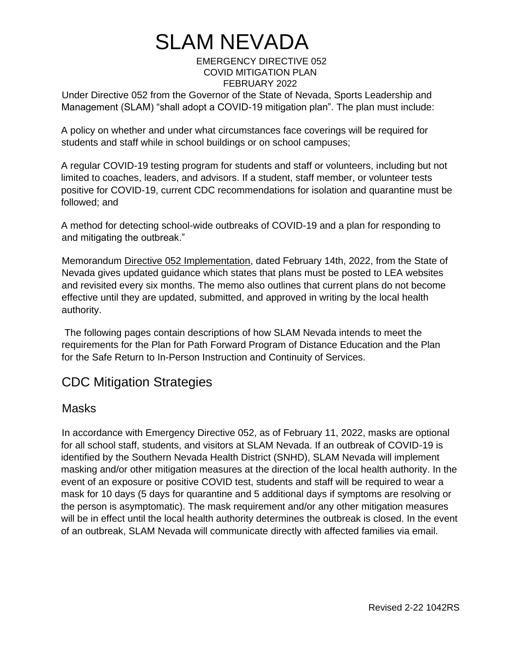### EMERGENCY DIRECTIVE 052 COVID MITIGATION PLAN FEBRUARY 2022

Under Directive 052 from the Governor of the State of Nevada, Sports Leadership and Management (SLAM) "shall adopt a COVID-19 mitigation plan". The plan must include:

A policy on whether and under what circumstances face coverings will be required for students and staff while in school buildings or on school campuses;

A regular COVID-19 testing program for students and staff or volunteers, including but not limited to coaches, leaders, and advisors. If a student, staff member, or volunteer tests positive for COVID-19, current CDC recommendations for isolation and quarantine must be followed; and

A method for detecting school-wide outbreaks of COVID-19 and a plan for responding to and mitigating the outbreak."

Memorandum Directive 052 Implementation, dated February 14th, 2022, from the State of Nevada gives updated guidance which states that plans must be posted to LEA websites and revisited every six months. The memo also outlines that current plans do not become effective until they are updated, submitted, and approved in writing by the local health authority.

The following pages contain descriptions of how SLAM Nevada intends to meet the requirements for the Plan for Path Forward Program of Distance Education and the Plan for the Safe Return to In-Person Instruction and Continuity of Services.

## CDC Mitigation Strategies

### **Masks**

In accordance with Emergency Directive 052, as of February 11, 2022, masks are optional for all school staff, students, and visitors at SLAM Nevada. If an outbreak of COVID-19 is identified by the Southern Nevada Health District (SNHD), SLAM Nevada will implement masking and/or other mitigation measures at the direction of the local health authority. In the event of an exposure or positive COVID test, students and staff will be required to wear a mask for 10 days (5 days for quarantine and 5 additional days if symptoms are resolving or the person is asymptomatic). The mask requirement and/or any other mitigation measures will be in effect until the local health authority determines the outbreak is closed. In the event of an outbreak, SLAM Nevada will communicate directly with affected families via email.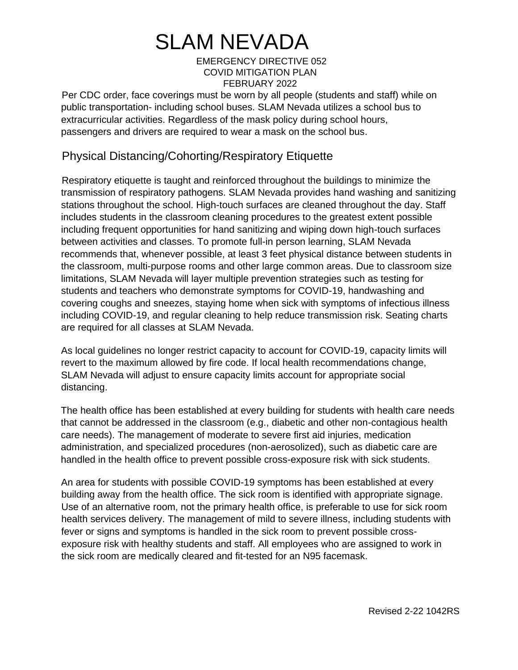### EMERGENCY DIRECTIVE 052 COVID MITIGATION PLAN FEBRUARY 2022

Per CDC order, face coverings must be worn by all people (students and staff) while on public transportation- including school buses. SLAM Nevada utilizes a school bus to extracurricular activities. Regardless of the mask policy during school hours, passengers and drivers are required to wear a mask on the school bus.

### Physical Distancing/Cohorting/Respiratory Etiquette

Respiratory etiquette is taught and reinforced throughout the buildings to minimize the transmission of respiratory pathogens. SLAM Nevada provides hand washing and sanitizing stations throughout the school. High-touch surfaces are cleaned throughout the day. Staff includes students in the classroom cleaning procedures to the greatest extent possible including frequent opportunities for hand sanitizing and wiping down high-touch surfaces between activities and classes. To promote full-in person learning, SLAM Nevada recommends that, whenever possible, at least 3 feet physical distance between students in the classroom, multi-purpose rooms and other large common areas. Due to classroom size limitations, SLAM Nevada will layer multiple prevention strategies such as testing for students and teachers who demonstrate symptoms for COVID-19, handwashing and covering coughs and sneezes, staying home when sick with symptoms of infectious illness including COVID-19, and regular cleaning to help reduce transmission risk. Seating charts are required for all classes at SLAM Nevada.

As local guidelines no longer restrict capacity to account for COVID-19, capacity limits will revert to the maximum allowed by fire code. If local health recommendations change, SLAM Nevada will adjust to ensure capacity limits account for appropriate social distancing.

The health office has been established at every building for students with health care needs that cannot be addressed in the classroom (e.g., diabetic and other non-contagious health care needs). The management of moderate to severe first aid injuries, medication administration, and specialized procedures (non-aerosolized), such as diabetic care are handled in the health office to prevent possible cross-exposure risk with sick students.

An area for students with possible COVID-19 symptoms has been established at every building away from the health office. The sick room is identified with appropriate signage. Use of an alternative room, not the primary health office, is preferable to use for sick room health services delivery. The management of mild to severe illness, including students with fever or signs and symptoms is handled in the sick room to prevent possible crossexposure risk with healthy students and staff. All employees who are assigned to work in the sick room are medically cleared and fit-tested for an N95 facemask.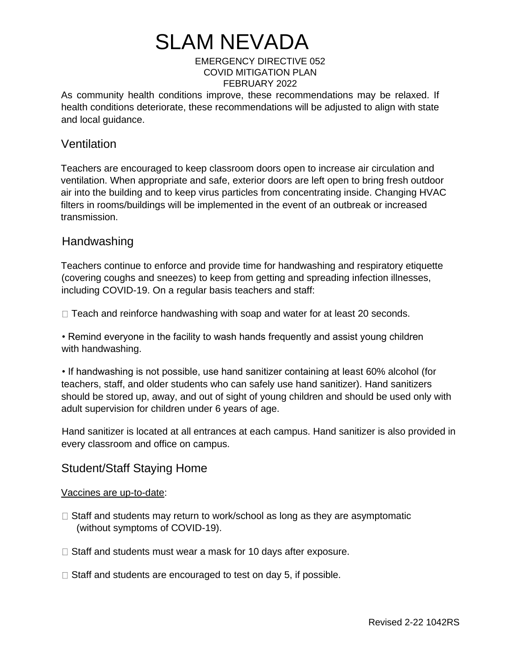### EMERGENCY DIRECTIVE 052 COVID MITIGATION PLAN FEBRUARY 2022

As community health conditions improve, these recommendations may be relaxed. If health conditions deteriorate, these recommendations will be adjusted to align with state and local guidance.

### **Ventilation**

Teachers are encouraged to keep classroom doors open to increase air circulation and ventilation. When appropriate and safe, exterior doors are left open to bring fresh outdoor air into the building and to keep virus particles from concentrating inside. Changing HVAC filters in rooms/buildings will be implemented in the event of an outbreak or increased transmission.

### Handwashing

Teachers continue to enforce and provide time for handwashing and respiratory etiquette (covering coughs and sneezes) to keep from getting and spreading infection illnesses, including COVID-19. On a regular basis teachers and staff:

 $\Box$  Teach and reinforce handwashing with soap and water for at least 20 seconds.

• Remind everyone in the facility to wash hands frequently and assist young children with handwashing.

• If handwashing is not possible, use hand sanitizer containing at least 60% alcohol (for teachers, staff, and older students who can safely use hand sanitizer). Hand sanitizers should be stored up, away, and out of sight of young children and should be used only with adult supervision for children under 6 years of age.

Hand sanitizer is located at all entrances at each campus. Hand sanitizer is also provided in every classroom and office on campus.

### Student/Staff Staying Home

### Vaccines are up-to-date:

- $\Box$  Staff and students may return to work/school as long as they are asymptomatic (without symptoms of COVID-19).
- $\Box$  Staff and students must wear a mask for 10 days after exposure.
- $\Box$  Staff and students are encouraged to test on day 5, if possible.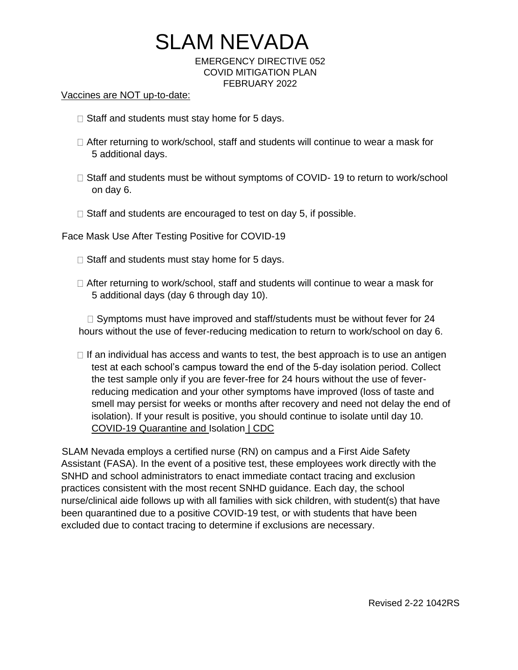# SLAM NEVADA EMERGENCY DIRECTIVE 052

COVID MITIGATION PLAN FEBRUARY 2022

#### Vaccines are NOT up-to-date:

- $\Box$  Staff and students must stay home for 5 days.
- $\Box$  After returning to work/school, staff and students will continue to wear a mask for 5 additional days.
- $\Box$  Staff and students must be without symptoms of COVID- 19 to return to work/school on day 6.
- $\Box$  Staff and students are encouraged to test on day 5, if possible.

Face Mask Use After Testing Positive for COVID-19

- $\Box$  Staff and students must stay home for 5 days.
- $\Box$  After returning to work/school, staff and students will continue to wear a mask for 5 additional days (day 6 through day 10).

 $\Box$  Symptoms must have improved and staff/students must be without fever for 24 hours without the use of fever-reducing medication to return to work/school on day 6.

 $\Box$  If an individual has access and wants to test, the best approach is to use an antigen test at each school's campus toward the end of the 5-day isolation period. Collect the test sample only if you are fever-free for 24 hours without the use of feverreducing medication and your other symptoms have improved (loss of taste and smell may persist for weeks or months after recovery and need not delay the end of isolation). If your result is positive, you should continue to isolate until day 10. COVID-19 Quarantine and Isolation | CDC

SLAM Nevada employs a certified nurse (RN) on campus and a First Aide Safety Assistant (FASA). In the event of a positive test, these employees work directly with the SNHD and school administrators to enact immediate contact tracing and exclusion practices consistent with the most recent SNHD guidance. Each day, the school nurse/clinical aide follows up with all families with sick children, with student(s) that have been quarantined due to a positive COVID-19 test, or with students that have been excluded due to contact tracing to determine if exclusions are necessary.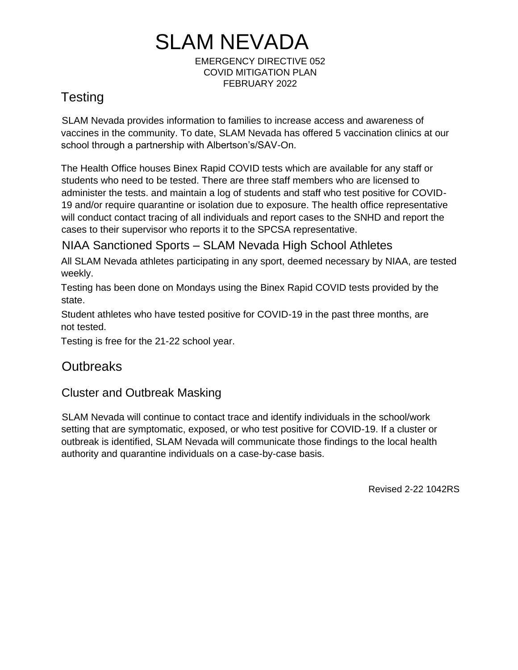EMERGENCY DIRECTIVE 052 COVID MITIGATION PLAN FEBRUARY 2022

## **Testing**

SLAM Nevada provides information to families to increase access and awareness of vaccines in the community. To date, SLAM Nevada has offered 5 vaccination clinics at our school through a partnership with Albertson's/SAV-On.

The Health Office houses Binex Rapid COVID tests which are available for any staff or students who need to be tested. There are three staff members who are licensed to administer the tests. and maintain a log of students and staff who test positive for COVID-19 and/or require quarantine or isolation due to exposure. The health office representative will conduct contact tracing of all individuals and report cases to the SNHD and report the cases to their supervisor who reports it to the SPCSA representative.

## NIAA Sanctioned Sports – SLAM Nevada High School Athletes

All SLAM Nevada athletes participating in any sport, deemed necessary by NIAA, are tested weekly.

Testing has been done on Mondays using the Binex Rapid COVID tests provided by the state.

Student athletes who have tested positive for COVID-19 in the past three months, are not tested.

Testing is free for the 21-22 school year.

## **Outbreaks**

### Cluster and Outbreak Masking

SLAM Nevada will continue to contact trace and identify individuals in the school/work setting that are symptomatic, exposed, or who test positive for COVID-19. If a cluster or outbreak is identified, SLAM Nevada will communicate those findings to the local health authority and quarantine individuals on a case-by-case basis.

Revised 2-22 1042RS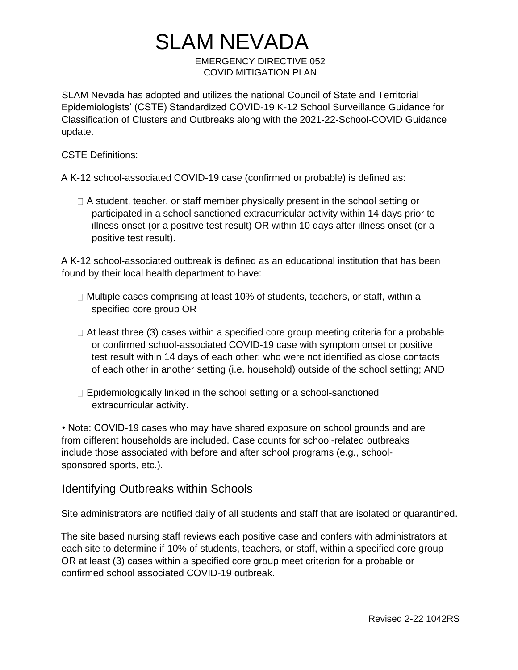## SLAM NEVADA EMERGENCY DIRECTIVE 052 COVID MITIGATION PLAN

SLAM Nevada has adopted and utilizes the national Council of State and Territorial Epidemiologists' (CSTE) Standardized COVID-19 K-12 School Surveillance Guidance for Classification of Clusters and Outbreaks along with the 2021-22-School-COVID Guidance update.

CSTE Definitions:

A K-12 school-associated COVID-19 case (confirmed or probable) is defined as:

 $\Box$  A student, teacher, or staff member physically present in the school setting or participated in a school sanctioned extracurricular activity within 14 days prior to illness onset (or a positive test result) OR within 10 days after illness onset (or a positive test result).

A K-12 school-associated outbreak is defined as an educational institution that has been found by their local health department to have:

- $\Box$  Multiple cases comprising at least 10% of students, teachers, or staff, within a specified core group OR
- $\Box$  At least three (3) cases within a specified core group meeting criteria for a probable or confirmed school-associated COVID-19 case with symptom onset or positive test result within 14 days of each other; who were not identified as close contacts of each other in another setting (i.e. household) outside of the school setting; AND
- $\Box$  Epidemiologically linked in the school setting or a school-sanctioned extracurricular activity.

• Note: COVID-19 cases who may have shared exposure on school grounds and are from different households are included. Case counts for school-related outbreaks include those associated with before and after school programs (e.g., schoolsponsored sports, etc.).

Identifying Outbreaks within Schools

Site administrators are notified daily of all students and staff that are isolated or quarantined.

The site based nursing staff reviews each positive case and confers with administrators at each site to determine if 10% of students, teachers, or staff, within a specified core group OR at least (3) cases within a specified core group meet criterion for a probable or confirmed school associated COVID-19 outbreak.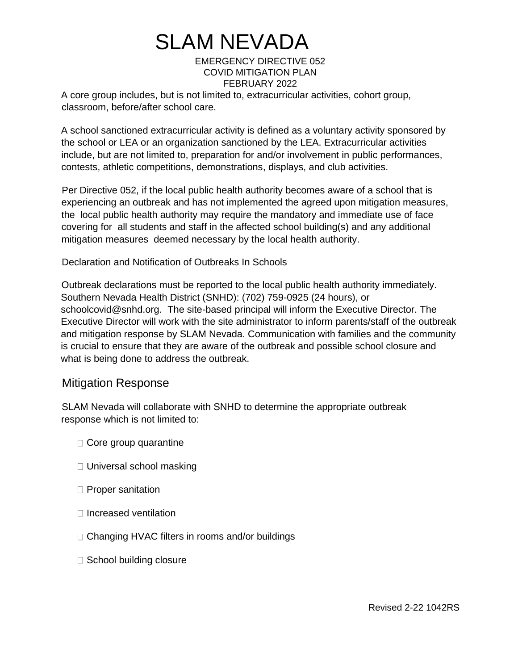### EMERGENCY DIRECTIVE 052 COVID MITIGATION PLAN FEBRUARY 2022

A core group includes, but is not limited to, extracurricular activities, cohort group, classroom, before/after school care.

A school sanctioned extracurricular activity is defined as a voluntary activity sponsored by the school or LEA or an organization sanctioned by the LEA. Extracurricular activities include, but are not limited to, preparation for and/or involvement in public performances, contests, athletic competitions, demonstrations, displays, and club activities.

Per Directive 052, if the local public health authority becomes aware of a school that is experiencing an outbreak and has not implemented the agreed upon mitigation measures, the local public health authority may require the mandatory and immediate use of face covering for all students and staff in the affected school building(s) and any additional mitigation measures deemed necessary by the local health authority.

Declaration and Notification of Outbreaks In Schools

Outbreak declarations must be reported to the local public health authority immediately. Southern Nevada Health District (SNHD): (702) 759-0925 (24 hours), or schoolcovid@snhd.org. The site-based principal will inform the Executive Director. The Executive Director will work with the site administrator to inform parents/staff of the outbreak and mitigation response by SLAM Nevada. Communication with families and the community is crucial to ensure that they are aware of the outbreak and possible school closure and what is being done to address the outbreak.

### Mitigation Response

SLAM Nevada will collaborate with SNHD to determine the appropriate outbreak response which is not limited to:

- $\Box$  Core group quarantine
- $\Box$  Universal school masking
- $\Box$  Proper sanitation
- $\Box$  Increased ventilation
- $\Box$  Changing HVAC filters in rooms and/or buildings
- □ School building closure